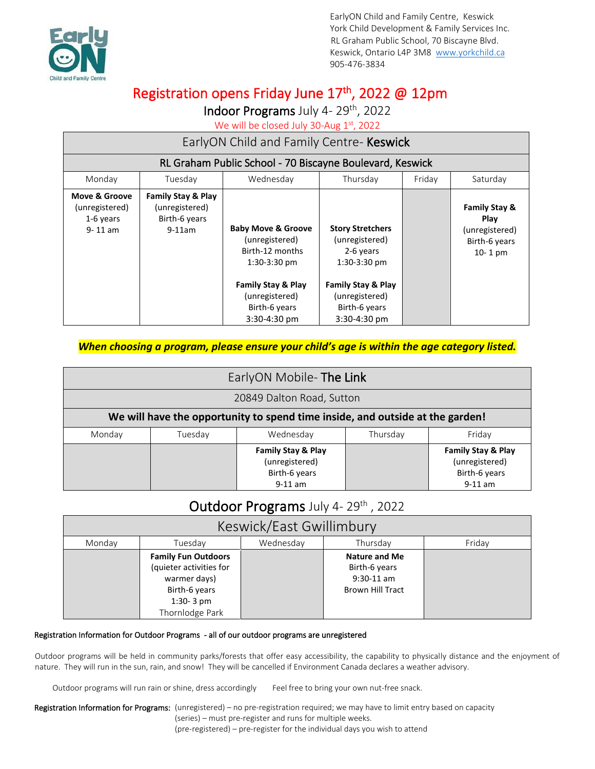

# Registration opens Friday June 17<sup>th</sup>, 2022 @ 12pm

Indoor Programs July 4-29<sup>th</sup>, 2022

We will be closed July 30-Aug 1st, 2022

| EarlyON Child and Family Centre- Keswick                    |                                                                    |                                                                                                                                                                          |                                                                                                                                                              |  |                                                                                  |  |
|-------------------------------------------------------------|--------------------------------------------------------------------|--------------------------------------------------------------------------------------------------------------------------------------------------------------------------|--------------------------------------------------------------------------------------------------------------------------------------------------------------|--|----------------------------------------------------------------------------------|--|
| RL Graham Public School - 70 Biscayne Boulevard, Keswick    |                                                                    |                                                                                                                                                                          |                                                                                                                                                              |  |                                                                                  |  |
| Monday                                                      | Tuesday                                                            | Wednesday<br>Friday<br>Thursday<br>Saturday                                                                                                                              |                                                                                                                                                              |  |                                                                                  |  |
| Move & Groove<br>(unregistered)<br>1-6 years<br>$9 - 11$ am | Family Stay & Play<br>(unregistered)<br>Birth-6 years<br>$9-11$ am | <b>Baby Move &amp; Groove</b><br>(unregistered)<br>Birth-12 months<br>$1:30-3:30$ pm<br><b>Family Stay &amp; Play</b><br>(unregistered)<br>Birth-6 years<br>3:30-4:30 pm | <b>Story Stretchers</b><br>(unregistered)<br>2-6 years<br>$1:30-3:30$ pm<br><b>Family Stay &amp; Play</b><br>(unregistered)<br>Birth-6 years<br>3:30-4:30 pm |  | <b>Family Stay &amp;</b><br>Play<br>(unregistered)<br>Birth-6 years<br>$10-1$ pm |  |

#### *When choosing a program, please ensure your child's age is within the age category listed.*

| EarlyON Mobile- The Link                                                      |         |                                                                               |          |                                                                    |  |
|-------------------------------------------------------------------------------|---------|-------------------------------------------------------------------------------|----------|--------------------------------------------------------------------|--|
| 20849 Dalton Road, Sutton                                                     |         |                                                                               |          |                                                                    |  |
| We will have the opportunity to spend time inside, and outside at the garden! |         |                                                                               |          |                                                                    |  |
| Monday                                                                        | Tuesday | Wednesday                                                                     | Thursday | Fridav                                                             |  |
|                                                                               |         | <b>Family Stay &amp; Play</b><br>(unregistered)<br>Birth-6 years<br>$9-11$ am |          | Family Stay & Play<br>(unregistered)<br>Birth-6 years<br>$9-11$ am |  |

## Outdoor Programs July 4-29th, 2022

| Keswick/East Gwillimbury |                                                                                                                          |           |                                                                                  |        |  |
|--------------------------|--------------------------------------------------------------------------------------------------------------------------|-----------|----------------------------------------------------------------------------------|--------|--|
| Mondav                   | Tuesdav                                                                                                                  | Wednesdav | Thursdav                                                                         | Fridav |  |
|                          | <b>Family Fun Outdoors</b><br>(quieter activities for<br>warmer days)<br>Birth-6 years<br>$1:30-3$ pm<br>Thornlodge Park |           | <b>Nature and Me</b><br>Birth-6 years<br>$9:30-11$ am<br><b>Brown Hill Tract</b> |        |  |

#### Registration Information for Outdoor Programs - all of our outdoor programs are unregistered

Outdoor programs will be held in community parks/forests that offer easy accessibility, the capability to physically distance and the enjoyment of nature. They will run in the sun, rain, and snow! They will be cancelled if Environment Canada declares a weather advisory.

Outdoor programs will run rain or shine, dress accordingly Feel free to bring your own nut-free snack.

Registration Information for Programs: (unregistered) – no pre-registration required; we may have to limit entry based on capacity (series) – must pre-register and runs for multiple weeks. (pre-registered) – pre-register for the individual days you wish to attend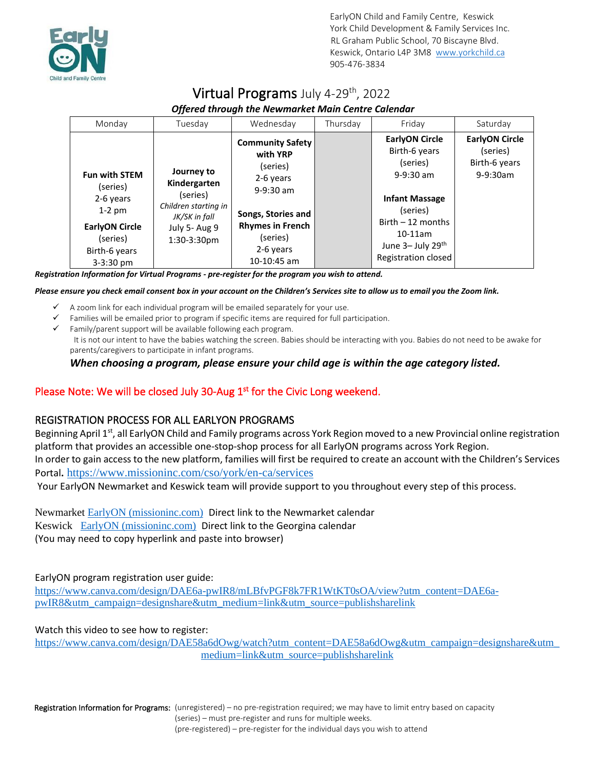

## Virtual Programs July 4-29<sup>th</sup>, 2022  *Offered through the Newmarket Main Centre Calendar*

| Monday                                                                                                                           | Tuesday                                                                                                            | Wednesday                                                                                                                                                            | Thursday | Friday                                                                                                                                                                                  | Saturday                                                            |
|----------------------------------------------------------------------------------------------------------------------------------|--------------------------------------------------------------------------------------------------------------------|----------------------------------------------------------------------------------------------------------------------------------------------------------------------|----------|-----------------------------------------------------------------------------------------------------------------------------------------------------------------------------------------|---------------------------------------------------------------------|
| <b>Fun with STEM</b><br>(series)<br>2-6 years<br>$1-2$ pm<br><b>EarlyON Circle</b><br>(series)<br>Birth-6 years<br>$3 - 3:30$ pm | Journey to<br>Kindergarten<br>(series)<br>Children starting in<br>JK/SK in fall<br>July 5- Aug 9<br>$1:30-3:30$ pm | <b>Community Safety</b><br>with YRP<br>(series)<br>2-6 years<br>$9-9:30$ am<br>Songs, Stories and<br><b>Rhymes in French</b><br>(series)<br>2-6 years<br>10-10:45 am |          | <b>EarlyON Circle</b><br>Birth-6 years<br>(series)<br>$9-9:30$ am<br><b>Infant Massage</b><br>(series)<br>$Birth - 12$ months<br>$10-11$ am<br>June 3- July 29th<br>Registration closed | <b>EarlyON Circle</b><br>(series)<br>Birth-6 years<br>$9 - 9:30$ am |

*Registration Information for Virtual Programs - pre-register for the program you wish to attend.*

*Please ensure you check email consent box in your account on the Children's Services site to allow us to email you the Zoom link.*

- $\checkmark$  A zoom link for each individual program will be emailed separately for your use.
- Families will be emailed prior to program if specific items are required for full participation.
- $\checkmark$  Family/parent support will be available following each program. It is not our intent to have the babies watching the screen. Babies should be interacting with you. Babies do not need to be awake for parents/caregivers to participate in infant programs.

#### *When choosing a program, please ensure your child age is within the age category listed.*

#### Please Note: We will be closed July 30-Aug  $1<sup>st</sup>$  for the Civic Long weekend.

#### REGISTRATION PROCESS FOR ALL EARLYON PROGRAMS

Beginning April 1<sup>st</sup>, all EarlyON Child and Family programs across York Region moved to a new Provincial online registration platform that provides an accessible one-stop-shop process for all EarlyON programs across York Region. In order to gain access to the new platform, families will first be required to create an account with the Children's Services Portal**.** <https://www.missioninc.com/cso/york/en-ca/services>

Your EarlyON Newmarket and Keswick team will provide support to you throughout every step of this process.

Newmarket [EarlyON \(missioninc.com\)](https://can01.safelinks.protection.outlook.com/?url=https%3A%2F%2Fwww.missioninc.com%2Fcso%2Fyork%2Fen-ca%2Fearlyon%2Fcalendar%3Fho_id_num%3D162&data=04%7C01%7Clchapman%40yorkchild.ca%7Ca03b1eb90421461f775908da135256ac%7C4b36106cea324aba99c1f8ef65aa3af8%7C0%7C0%7C637843541608558345%7CUnknown%7CTWFpbGZsb3d8eyJWIjoiMC4wLjAwMDAiLCJQIjoiV2luMzIiLCJBTiI6Ik1haWwiLCJXVCI6Mn0%3D%7C3000&sdata=jOdYcZJGOlT7ci3Ra8JielrqbzjjrsUEHxMxhb5i5s0%3D&reserved=0) Direct link to the Newmarket calendar Keswick [EarlyON \(missioninc.com\)](https://can01.safelinks.protection.outlook.com/?url=https%3A%2F%2Fwww.missioninc.com%2Fcso%2Fyork%2Fen-ca%2Fearlyon%2Fcalendar%3Fho_id_num%3D477&data=04%7C01%7Clchapman%40yorkchild.ca%7Ca03b1eb90421461f775908da135256ac%7C4b36106cea324aba99c1f8ef65aa3af8%7C0%7C0%7C637843541608558345%7CUnknown%7CTWFpbGZsb3d8eyJWIjoiMC4wLjAwMDAiLCJQIjoiV2luMzIiLCJBTiI6Ik1haWwiLCJXVCI6Mn0%3D%7C3000&sdata=Hfp2C%2BCKLcsKFUAH3CijWEryaSDPFaMuJIDuBwQcQC8%3D&reserved=0) Direct link to the Georgina calendar (You may need to copy hyperlink and paste into browser)

EarlyON program registration user guide:

[https://www.canva.com/design/DAE6a-pwIR8/mLBfvPGF8k7FR1WtKT0sOA/view?utm\\_content=DAE6a](https://can01.safelinks.protection.outlook.com/?url=https%3A%2F%2Fwww.canva.com%2Fdesign%2FDAE6a-pwIR8%2FmLBfvPGF8k7FR1WtKT0sOA%2Fview%3Futm_content%3DDAE6a-pwIR8%26utm_campaign%3Ddesignshare%26utm_medium%3Dlink%26utm_source%3Dpublishsharelink&data=04%7C01%7Clchapman%40yorkchild.ca%7Cc2e0b60f63ad43b9aa6508da0cfbf864%7C4b36106cea324aba99c1f8ef65aa3af8%7C0%7C0%7C637836573786361761%7CUnknown%7CTWFpbGZsb3d8eyJWIjoiMC4wLjAwMDAiLCJQIjoiV2luMzIiLCJBTiI6Ik1haWwiLCJXVCI6Mn0%3D%7C3000&sdata=N661V87aIvEre5Ftuy4sUllwQezcT2oppMeQc%2Fo6244%3D&reserved=0)[pwIR8&utm\\_campaign=designshare&utm\\_medium=link&utm\\_source=publishsharelink](https://can01.safelinks.protection.outlook.com/?url=https%3A%2F%2Fwww.canva.com%2Fdesign%2FDAE6a-pwIR8%2FmLBfvPGF8k7FR1WtKT0sOA%2Fview%3Futm_content%3DDAE6a-pwIR8%26utm_campaign%3Ddesignshare%26utm_medium%3Dlink%26utm_source%3Dpublishsharelink&data=04%7C01%7Clchapman%40yorkchild.ca%7Cc2e0b60f63ad43b9aa6508da0cfbf864%7C4b36106cea324aba99c1f8ef65aa3af8%7C0%7C0%7C637836573786361761%7CUnknown%7CTWFpbGZsb3d8eyJWIjoiMC4wLjAwMDAiLCJQIjoiV2luMzIiLCJBTiI6Ik1haWwiLCJXVCI6Mn0%3D%7C3000&sdata=N661V87aIvEre5Ftuy4sUllwQezcT2oppMeQc%2Fo6244%3D&reserved=0)

Watch this video to see how to register:

https://www.canva.com/design/DAE58a6dOwg/watch?utm\_content=DAE58a6dOwg&utm\_campaign=designshare&utm [medium=link&utm\\_source=publishsharelink](https://can01.safelinks.protection.outlook.com/?url=https%3A%2F%2Fwww.canva.com%2Fdesign%2FDAE58a6dOwg%2Fwatch%3Futm_content%3DDAE58a6dOwg%26utm_campaign%3Ddesignshare%26utm_medium%3Dlink%26utm_source%3Dpublishsharelink&data=04%7C01%7Clchapman%40yorkchild.ca%7Cc2e0b60f63ad43b9aa6508da0cfbf864%7C4b36106cea324aba99c1f8ef65aa3af8%7C0%7C0%7C637836573786361761%7CUnknown%7CTWFpbGZsb3d8eyJWIjoiMC4wLjAwMDAiLCJQIjoiV2luMzIiLCJBTiI6Ik1haWwiLCJXVCI6Mn0%3D%7C3000&sdata=E92uEvrFe7FAzongvZO1vC03VGMg3OY2yfTZXyKSGMI%3D&reserved=0)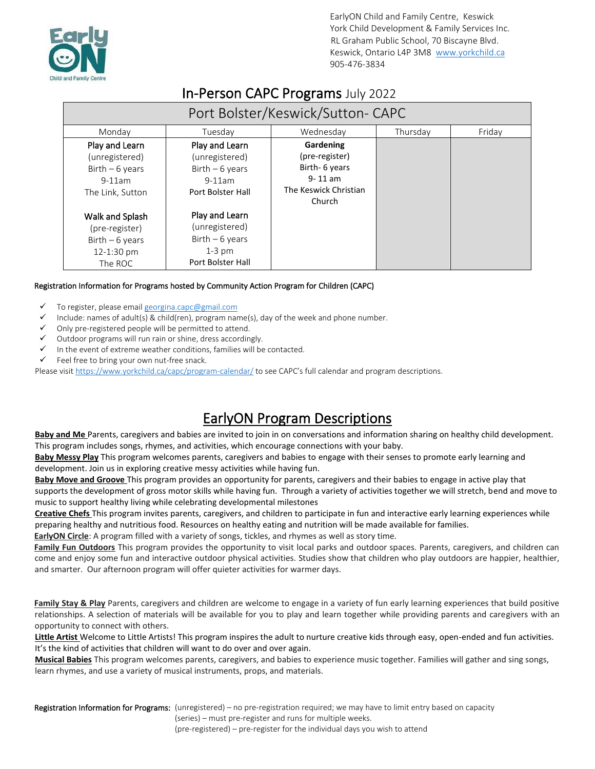

# In-Person CAPC Programs July 2022

| Port Bolster/Keswick/Sutton-CAPC                                                     |                                                                                       |                                                                                                 |          |        |  |
|--------------------------------------------------------------------------------------|---------------------------------------------------------------------------------------|-------------------------------------------------------------------------------------------------|----------|--------|--|
| Monday                                                                               | Tuesday                                                                               | Wednesday                                                                                       | Thursday | Friday |  |
| Play and Learn<br>(unregistered)<br>Birth $-6$ years<br>$9-11am$<br>The Link, Sutton | Play and Learn<br>(unregistered)<br>Birth $-6$ years<br>$9-11am$<br>Port Bolster Hall | Gardening<br>(pre-register)<br>Birth- 6 years<br>$9 - 11$ am<br>The Keswick Christian<br>Church |          |        |  |
| Walk and Splash<br>(pre-register)<br>Birth $-6$ years<br>12-1:30 pm<br>The ROC       | Play and Learn<br>(unregistered)<br>Birth $-6$ years<br>$1-3$ pm<br>Port Bolster Hall |                                                                                                 |          |        |  |

#### Registration Information for Programs hosted by Community Action Program for Children (CAPC)

- To register, please email georgina.capc@gmail.com
- Include: names of adult(s) & child(ren), program name(s), day of the week and phone number.
- Only pre-registered people will be permitted to attend.
- ✓ Outdoor programs will run rain or shine, dress accordingly.
- $\checkmark$  In the event of extreme weather conditions, families will be contacted.
- $\checkmark$  Feel free to bring your own nut-free snack.

Please visi[t https://www.yorkchild.ca/capc/program-calendar/](https://www.yorkchild.ca/capc/program-calendar/) to see CAPC's full calendar and program descriptions.

# EarlyON Program Descriptions

**Baby and Me** Parents, caregivers and babies are invited to join in on conversations and information sharing on healthy child development. This program includes songs, rhymes, and activities, which encourage connections with your baby.

**Baby Messy Play** This program welcomes parents, caregivers and babies to engage with their senses to promote early learning and development. Join us in exploring creative messy activities while having fun.

**Baby Move and Groove** This program provides an opportunity for parents, caregivers and their babies to engage in active play that supports the development of gross motor skills while having fun. Through a variety of activities together we will stretch, bend and move to music to support healthy living while celebrating developmental milestones

**Creative Chefs** This program invites parents, caregivers, and children to participate in fun and interactive early learning experiences while preparing healthy and nutritious food. Resources on healthy eating and nutrition will be made available for families.

**EarlyON Circle**: A program filled with a variety of songs, tickles, and rhymes as well as story time.

**Family Fun Outdoors** This program provides the opportunity to visit local parks and outdoor spaces. Parents, caregivers, and children can come and enjoy some fun and interactive outdoor physical activities. Studies show that children who play outdoors are happier, healthier, and smarter. Our afternoon program will offer quieter activities for warmer days.

**Family Stay & Play** Parents, caregivers and children are welcome to engage in a variety of fun early learning experiences that build positive relationships. A selection of materials will be available for you to play and learn together while providing parents and caregivers with an opportunity to connect with others.

**Little Artist** Welcome to Little Artists! This program inspires the adult to nurture creative kids through easy, open-ended and fun activities. It's the kind of activities that children will want to do over and over again.

**Musical Babies** This program welcomes parents, caregivers, and babies to experience music together. Families will gather and sing songs, learn rhymes, and use a variety of musical instruments, props, and materials.